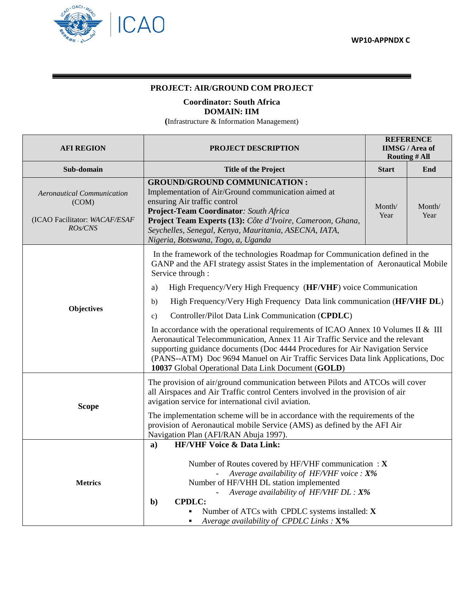

## **PROJECT: AIR/GROUND COM PROJECT**

**Coordinator: South Africa**

## **DOMAIN: IIM**

**(**Infrastructure & Information Management)

| <b>AFI REGION</b>                                                                                                                                                                                                                                                                                                                     | <b>PROJECT DESCRIPTION</b>                                                                                                                                                                                                                                                                                                                                                                   | <b>REFERENCE</b><br><b>IIMSG/Area of</b><br><b>Routing # All</b> |                |  |  |
|---------------------------------------------------------------------------------------------------------------------------------------------------------------------------------------------------------------------------------------------------------------------------------------------------------------------------------------|----------------------------------------------------------------------------------------------------------------------------------------------------------------------------------------------------------------------------------------------------------------------------------------------------------------------------------------------------------------------------------------------|------------------------------------------------------------------|----------------|--|--|
| Sub-domain                                                                                                                                                                                                                                                                                                                            | <b>Title of the Project</b>                                                                                                                                                                                                                                                                                                                                                                  | <b>Start</b>                                                     | End            |  |  |
| <b>Aeronautical Communication</b><br>(COM)<br>(ICAO Facilitator: WACAF/ESAF<br>RO <sub>s</sub> /CNS                                                                                                                                                                                                                                   | <b>GROUND/GROUND COMMUNICATION :</b><br>Implementation of Air/Ground communication aimed at<br>ensuring Air traffic control<br>Project-Team Coordinator: South Africa<br>Project Team Experts (13): Côte d'Ivoire, Cameroon, Ghana,<br>Seychelles, Senegal, Kenya, Mauritania, ASECNA, IATA,<br>Nigeria, Botswana, Togo, a, Uganda                                                           | Month/<br>Year                                                   | Month/<br>Year |  |  |
|                                                                                                                                                                                                                                                                                                                                       | In the framework of the technologies Roadmap for Communication defined in the<br>GANP and the AFI strategy assist States in the implementation of Aeronautical Mobile<br>Service through :                                                                                                                                                                                                   |                                                                  |                |  |  |
|                                                                                                                                                                                                                                                                                                                                       | High Frequency/Very High Frequency (HF/VHF) voice Communication<br>a)                                                                                                                                                                                                                                                                                                                        |                                                                  |                |  |  |
| <b>Objectives</b>                                                                                                                                                                                                                                                                                                                     | High Frequency/Very High Frequency Data link communication (HF/VHF DL)<br>b)                                                                                                                                                                                                                                                                                                                 |                                                                  |                |  |  |
|                                                                                                                                                                                                                                                                                                                                       | Controller/Pilot Data Link Communication (CPDLC)<br>$\mathbf{c}$ )                                                                                                                                                                                                                                                                                                                           |                                                                  |                |  |  |
|                                                                                                                                                                                                                                                                                                                                       | In accordance with the operational requirements of ICAO Annex 10 Volumes II & III<br>Aeronautical Telecommunication, Annex 11 Air Traffic Service and the relevant<br>supporting guidance documents (Doc 4444 Procedures for Air Navigation Service<br>(PANS--ATM) Doc 9694 Manuel on Air Traffic Services Data link Applications, Doc<br>10037 Global Operational Data Link Document (GOLD) |                                                                  |                |  |  |
| <b>Scope</b>                                                                                                                                                                                                                                                                                                                          | The provision of air/ground communication between Pilots and ATCOs will cover<br>all Airspaces and Air Traffic control Centers involved in the provision of air<br>avigation service for international civil aviation.                                                                                                                                                                       |                                                                  |                |  |  |
|                                                                                                                                                                                                                                                                                                                                       | The implementation scheme will be in accordance with the requirements of the<br>provision of Aeronautical mobile Service (AMS) as defined by the AFI Air<br>Navigation Plan (AFI/RAN Abuja 1997).                                                                                                                                                                                            |                                                                  |                |  |  |
|                                                                                                                                                                                                                                                                                                                                       | <b>HF/VHF Voice &amp; Data Link:</b><br>$\mathbf{a}$                                                                                                                                                                                                                                                                                                                                         |                                                                  |                |  |  |
| Number of Routes covered by HF/VHF communication : $X$<br>Average availability of HF/VHF voice : X%<br>Number of HF/VHH DL station implemented<br><b>Metrics</b><br>Average availability of HF/VHF $DL: X\%$<br><b>CPDLC:</b><br>$b$<br>Number of ATCs with CPDLC systems installed: X<br>Average availability of CPDLC Links : $X\%$ |                                                                                                                                                                                                                                                                                                                                                                                              |                                                                  |                |  |  |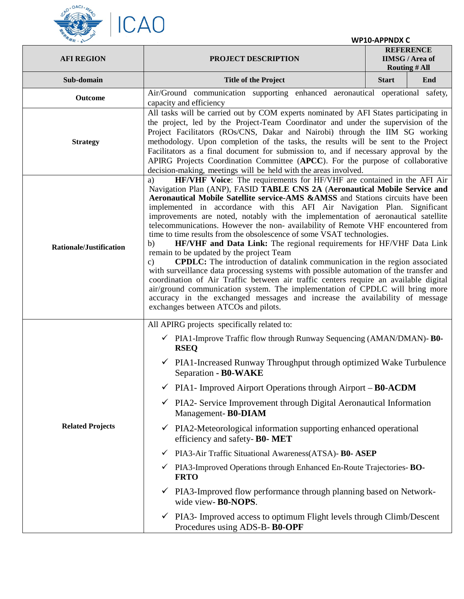

|  |  | <b>WP10-APPNDX C</b> |  |
|--|--|----------------------|--|
|--|--|----------------------|--|

| <b>AFI REGION</b>              | <b>PROJECT DESCRIPTION</b>                                                                                                                                                                                                                                                                                                                                                                                                                                                                                                                                                                                                                                                                                                                                                                                                                                                                                                                                                                                                                                                                                                                                                                          | <b>REFERENCE</b><br><b>IIMSG/Area of</b><br><b>Routing # All</b> |     |  |  |
|--------------------------------|-----------------------------------------------------------------------------------------------------------------------------------------------------------------------------------------------------------------------------------------------------------------------------------------------------------------------------------------------------------------------------------------------------------------------------------------------------------------------------------------------------------------------------------------------------------------------------------------------------------------------------------------------------------------------------------------------------------------------------------------------------------------------------------------------------------------------------------------------------------------------------------------------------------------------------------------------------------------------------------------------------------------------------------------------------------------------------------------------------------------------------------------------------------------------------------------------------|------------------------------------------------------------------|-----|--|--|
| Sub-domain                     | <b>Title of the Project</b>                                                                                                                                                                                                                                                                                                                                                                                                                                                                                                                                                                                                                                                                                                                                                                                                                                                                                                                                                                                                                                                                                                                                                                         | <b>Start</b>                                                     | End |  |  |
| Outcome                        | Air/Ground communication supporting enhanced aeronautical operational safety,<br>capacity and efficiency                                                                                                                                                                                                                                                                                                                                                                                                                                                                                                                                                                                                                                                                                                                                                                                                                                                                                                                                                                                                                                                                                            |                                                                  |     |  |  |
| <b>Strategy</b>                | All tasks will be carried out by COM experts nominated by AFI States participating in<br>the project, led by the Project-Team Coordinator and under the supervision of the<br>Project Facilitators (ROs/CNS, Dakar and Nairobi) through the IIM SG working<br>methodology. Upon completion of the tasks, the results will be sent to the Project<br>Facilitators as a final document for submission to, and if necessary approval by the<br>APIRG Projects Coordination Committee (APCC). For the purpose of collaborative<br>decision-making, meetings will be held with the areas involved.                                                                                                                                                                                                                                                                                                                                                                                                                                                                                                                                                                                                       |                                                                  |     |  |  |
| <b>Rationale/Justification</b> | HF/VHF Voice: The requirements for HF/VHF are contained in the AFI Air<br>a)<br>Navigation Plan (ANP), FASID TABLE CNS 2A (Aeronautical Mobile Service and<br><b>Aeronautical Mobile Satellite service-AMS &amp;AMSS</b> and Stations circuits have been<br>implemented in accordance with this AFI Air Navigation Plan. Significant<br>improvements are noted, notably with the implementation of aeronautical satellite<br>telecommunications. However the non- availability of Remote VHF encountered from<br>time to time results from the obsolescence of some VSAT technologies.<br>HF/VHF and Data Link: The regional requirements for HF/VHF Data Link<br>b)<br>remain to be updated by the project Team<br><b>CPDLC:</b> The introduction of datalink communication in the region associated<br>c)<br>with surveillance data processing systems with possible automation of the transfer and<br>coordination of Air Traffic between air traffic centers require an available digital<br>air/ground communication system. The implementation of CPDLC will bring more<br>accuracy in the exchanged messages and increase the availability of message<br>exchanges between ATCOs and pilots. |                                                                  |     |  |  |
| <b>Related Projects</b>        | All APIRG projects specifically related to:<br>$\checkmark$ PIA1-Improve Traffic flow through Runway Sequencing (AMAN/DMAN)- <b>B0-</b><br><b>RSEQ</b><br>$\checkmark$ PIA1-Increased Runway Throughput through optimized Wake Turbulence<br>Separation - B0-WAKE<br>$\checkmark$ PIA1- Improved Airport Operations through Airport – <b>B0-ACDM</b><br>PIA2- Service Improvement through Digital Aeronautical Information<br>✓<br>Management-B0-DIAM<br>PIA2-Meteorological information supporting enhanced operational<br>$\checkmark$<br>efficiency and safety- B0- MET<br>PIA3-Air Traffic Situational Awareness(ATSA)- B0- ASEP<br>✓<br>PIA3-Improved Operations through Enhanced En-Route Trajectories-BO-<br>✓<br><b>FRTO</b><br>PIA3-Improved flow performance through planning based on Network-<br>✓<br>wide view-B0-NOPS.<br>PIA3- Improved access to optimum Flight levels through Climb/Descent<br>$\checkmark$                                                                                                                                                                                                                                                                        |                                                                  |     |  |  |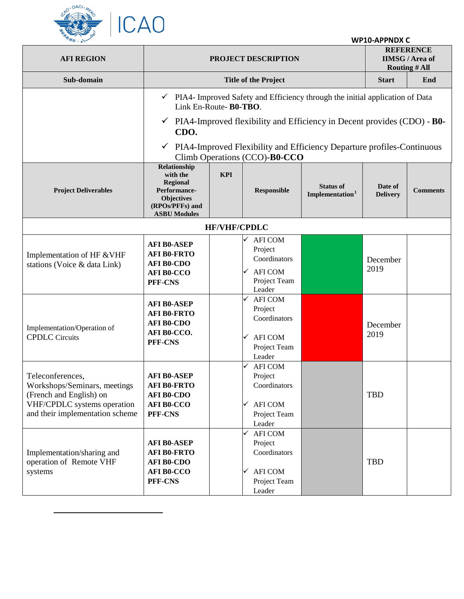

 $\overline{a}$ 

| <b>WP10-APPNDX C</b> |  |
|----------------------|--|
|----------------------|--|

| <b>AFI REGION</b>                                                                                                                             | PROJECT DESCRIPTION                                                                                                                                                                                                                                                                                                              |                     |                                                                                                                         | <b>REFERENCE</b><br><b>IIMSG/Area of</b><br><b>Routing # All</b> |                            |                 |
|-----------------------------------------------------------------------------------------------------------------------------------------------|----------------------------------------------------------------------------------------------------------------------------------------------------------------------------------------------------------------------------------------------------------------------------------------------------------------------------------|---------------------|-------------------------------------------------------------------------------------------------------------------------|------------------------------------------------------------------|----------------------------|-----------------|
| Sub-domain                                                                                                                                    |                                                                                                                                                                                                                                                                                                                                  |                     | <b>Title of the Project</b>                                                                                             |                                                                  | <b>Start</b>               | End             |
|                                                                                                                                               | PIA4- Improved Safety and Efficiency through the initial application of Data<br>Link En-Route- B0-TBO.<br>PIA4-Improved flexibility and Efficiency in Decent provides (CDO) - <b>B0-</b><br>$\checkmark$<br>CDO.<br>PIA4-Improved Flexibility and Efficiency Departure profiles-Continuous<br>✓<br>Climb Operations (CCO)-B0-CCO |                     |                                                                                                                         |                                                                  |                            |                 |
| <b>Project Deliverables</b>                                                                                                                   | Relationship<br>with the<br><b>Regional</b><br>Performance-<br><b>Objectives</b><br>(RPOs/PFFs) and<br><b>ASBU Modules</b>                                                                                                                                                                                                       | <b>KPI</b>          | <b>Responsible</b>                                                                                                      | <b>Status of</b><br>Implementation <sup>1</sup>                  | Date of<br><b>Delivery</b> | <b>Comments</b> |
|                                                                                                                                               |                                                                                                                                                                                                                                                                                                                                  | <b>HF/VHF/CPDLC</b> |                                                                                                                         |                                                                  |                            |                 |
| Implementation of HF & VHF<br>stations (Voice & data Link)                                                                                    | <b>AFI B0-ASEP</b><br><b>AFI B0-FRTO</b><br><b>AFI B0-CDO</b><br><b>AFI B0-CCO</b><br>PFF-CNS<br><b>AFI B0-ASEP</b>                                                                                                                                                                                                              |                     | <b>AFI COM</b><br>Project<br>Coordinators<br><b>AFI COM</b><br>✓<br>Project Team<br>Leader<br><b>AFI COM</b><br>Project |                                                                  | December<br>2019           |                 |
| Implementation/Operation of<br><b>CPDLC</b> Circuits                                                                                          | <b>AFI B0-FRTO</b><br><b>AFI B0-CDO</b><br>AFI B0-CCO.<br>PFF-CNS                                                                                                                                                                                                                                                                |                     | Coordinators<br><b>AFI COM</b><br>✓<br>Project Team<br>Leader                                                           |                                                                  | December<br>2019           |                 |
| Teleconferences,<br>Workshops/Seminars, meetings<br>(French and English) on<br>VHF/CPDLC systems operation<br>and their implementation scheme | <b>AFI B0-ASEP</b><br><b>AFI B0-FRTO</b><br><b>AFI B0-CDO</b><br><b>AFI B0-CCO</b><br>PFF-CNS                                                                                                                                                                                                                                    |                     | <b>AFI COM</b><br>Project<br>Coordinators<br><b>AFI COM</b><br>✓<br>Project Team<br>Leader                              |                                                                  | <b>TBD</b>                 |                 |
| Implementation/sharing and<br>operation of Remote VHF<br>systems                                                                              | <b>AFI B0-ASEP</b><br><b>AFI B0-FRTO</b><br><b>AFI B0-CDO</b><br><b>AFI B0-CCO</b><br>PFF-CNS                                                                                                                                                                                                                                    |                     | <b>AFI COM</b><br>Project<br>Coordinators<br><b>AFI COM</b><br>✓<br>Project Team<br>Leader                              |                                                                  | <b>TBD</b>                 |                 |